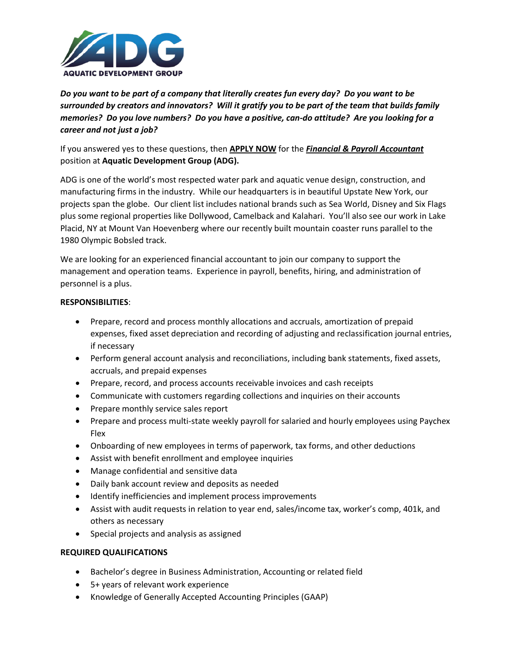

*Do you want to be part of a company that literally creates fun every day? Do you want to be surrounded by creators and innovators? Will it gratify you to be part of the team that builds family memories? Do you love numbers? Do you have a positive, can-do attitude? Are you looking for a career and not just a job?*

If you answered yes to these questions, then **APPLY NOW** for the *Financial & Payroll Accountant*  position at **Aquatic Development Group (ADG).**

ADG is one of the world's most respected water park and aquatic venue design, construction, and manufacturing firms in the industry. While our headquarters is in beautiful Upstate New York, our projects span the globe. Our client list includes national brands such as Sea World, Disney and Six Flags plus some regional properties like Dollywood, Camelback and Kalahari. You'll also see our work in Lake Placid, NY at Mount Van Hoevenberg where our recently built mountain coaster runs parallel to the 1980 Olympic Bobsled track.

We are looking for an experienced financial accountant to join our company to support the management and operation teams. Experience in payroll, benefits, hiring, and administration of personnel is a plus.

## **RESPONSIBILITIES**:

- Prepare, record and process monthly allocations and accruals, amortization of prepaid expenses, fixed asset depreciation and recording of adjusting and reclassification journal entries, if necessary
- Perform general account analysis and reconciliations, including bank statements, fixed assets, accruals, and prepaid expenses
- Prepare, record, and process accounts receivable invoices and cash receipts
- Communicate with customers regarding collections and inquiries on their accounts
- Prepare monthly service sales report
- Prepare and process multi-state weekly payroll for salaried and hourly employees using Paychex Flex
- Onboarding of new employees in terms of paperwork, tax forms, and other deductions
- Assist with benefit enrollment and employee inquiries
- Manage confidential and sensitive data
- Daily bank account review and deposits as needed
- Identify inefficiencies and implement process improvements
- Assist with audit requests in relation to year end, sales/income tax, worker's comp, 401k, and others as necessary
- Special projects and analysis as assigned

## **REQUIRED QUALIFICATIONS**

- Bachelor's degree in Business Administration, Accounting or related field
- 5+ years of relevant work experience
- Knowledge of Generally Accepted Accounting Principles (GAAP)